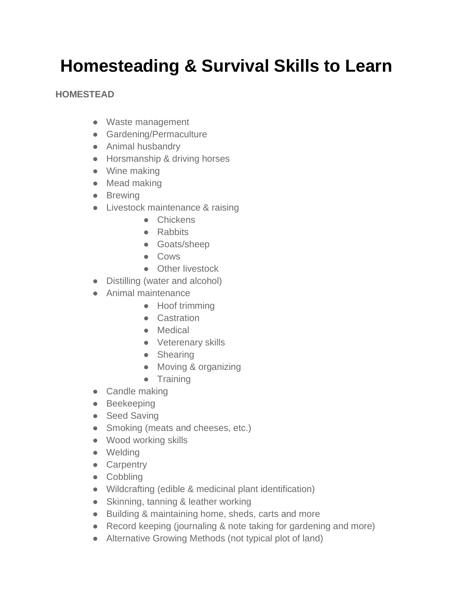# **Homesteading & Survival Skills to Learn**

### **HOMESTEAD**

- Waste management
- Gardening/Permaculture
- Animal husbandry
- Horsmanship & driving horses
- Wine making
- Mead making
- Brewing
- Livestock maintenance & raising
	- Chickens
	- Rabbits
	- Goats/sheep
	- Cows
	- Other livestock
- Distilling (water and alcohol)
- Animal maintenance
	- Hoof trimming
	- Castration
	- Medical
	- Veterenary skills
	- Shearing
	- Moving & organizing
	- Training
- Candle making
- Beekeeping
- Seed Saving
- Smoking (meats and cheeses, etc.)
- Wood working skills
- Welding
- Carpentry
- Cobbling
- Wildcrafting (edible & medicinal plant identification)
- Skinning, tanning & leather working
- Building & maintaining home, sheds, carts and more
- Record keeping (journaling & note taking for gardening and more)
- Alternative Growing Methods (not typical plot of land)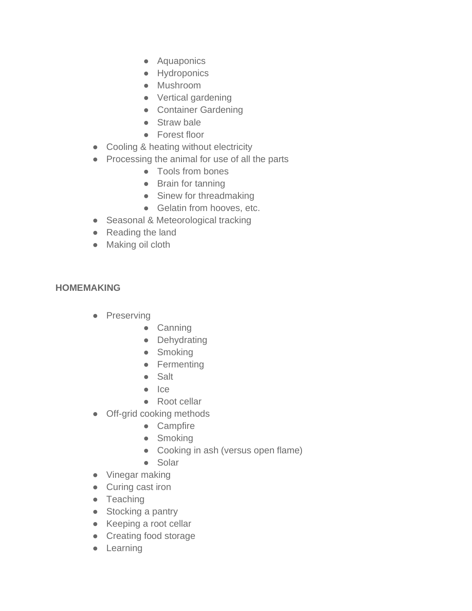- Aquaponics
- Hydroponics
- Mushroom
- Vertical gardening
- Container Gardening
- Straw bale
- Forest floor
- Cooling & heating without electricity
- Processing the animal for use of all the parts
	- Tools from bones
	- Brain for tanning
	- Sinew for threadmaking
	- Gelatin from hooves, etc.
- Seasonal & Meteorological tracking
- Reading the land
- Making oil cloth

## **HOMEMAKING**

- Preserving
	- Canning
	- Dehydrating
	- Smoking
	- Fermenting
	- Salt
	- Ice
	- Root cellar
- Off-grid cooking methods
	- Campfire
	- Smoking
	- Cooking in ash (versus open flame)
	- Solar
- Vinegar making
- Curing cast iron
- Teaching
- Stocking a pantry
- Keeping a root cellar
- Creating food storage
- Learning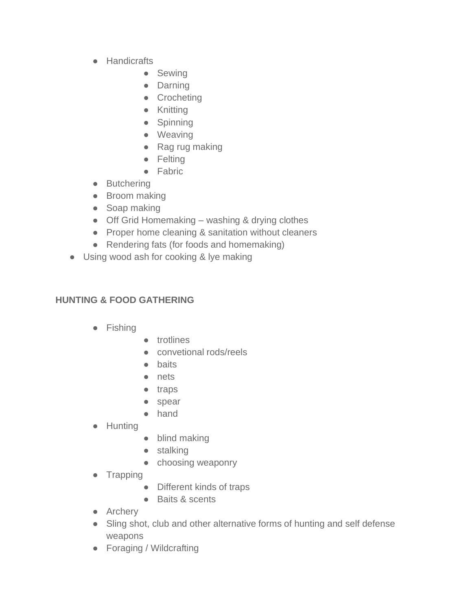- Handicrafts
	- Sewing
	- Darning
	- Crocheting
	- Knitting
	- Spinning
	- Weaving
	- Rag rug making
	- Felting
	- Fabric
- Butchering
- Broom making
- Soap making
- Off Grid Homemaking washing & drying clothes
- Proper home cleaning & sanitation without cleaners
- Rendering fats (for foods and homemaking)
- Using wood ash for cooking & lye making

## **HUNTING & FOOD GATHERING**

- Fishing
- trotlines
- convetional rods/reels
- baits
- nets
- traps
- spear
- hand
- Hunting
- blind making
- stalking
- choosing weaponry
- Trapping
	- Different kinds of traps
	- Baits & scents
- Archery
- Sling shot, club and other alternative forms of hunting and self defense weapons
- Foraging / Wildcrafting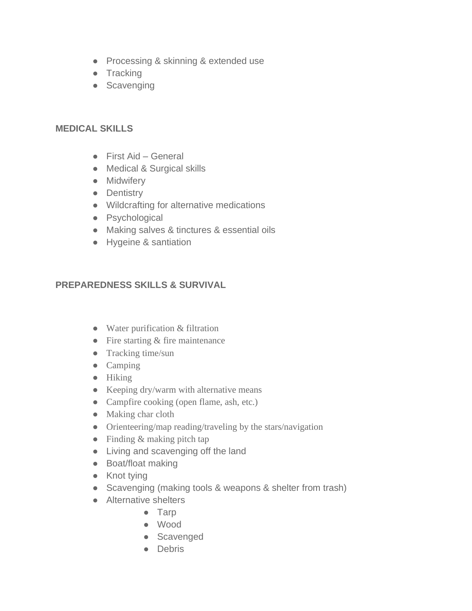- Processing & skinning & extended use
- Tracking
- Scavenging

### **MEDICAL SKILLS**

- First Aid General
- Medical & Surgical skills
- Midwifery
- Dentistry
- Wildcrafting for alternative medications
- Psychological
- Making salves & tinctures & essential oils
- Hygeine & santiation

## **PREPAREDNESS SKILLS & SURVIVAL**

- Water purification & filtration
- Fire starting & fire maintenance
- Tracking time/sun
- Camping
- Hiking
- Keeping dry/warm with alternative means
- Campfire cooking (open flame, ash, etc.)
- Making char cloth
- Orienteering/map reading/traveling by the stars/navigation
- Finding & making pitch tap
- Living and scavenging off the land
- Boat/float making
- Knot tying
- Scavenging (making tools & weapons & shelter from trash)
- Alternative shelters
	- Tarp
	- Wood
	- Scavenged
	- Debris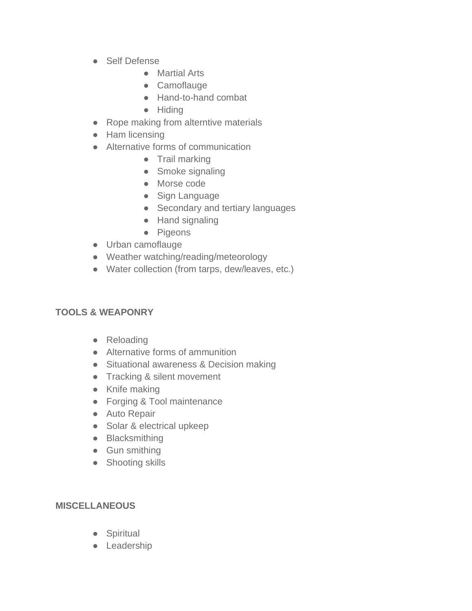- Self Defense
	- Martial Arts
	- Camoflauge
	- Hand-to-hand combat
	- Hiding
- Rope making from alterntive materials
- Ham licensing
- Alternative forms of communication
	- Trail marking
	- Smoke signaling
	- Morse code
	- Sign Language
	- Secondary and tertiary languages
	- Hand signaling
	- Pigeons
- Urban camoflauge
- Weather watching/reading/meteorology
- Water collection (from tarps, dew/leaves, etc.)

#### **TOOLS & WEAPONRY**

- Reloading
- Alternative forms of ammunition
- Situational awareness & Decision making
- Tracking & silent movement
- Knife making
- Forging & Tool maintenance
- Auto Repair
- Solar & electrical upkeep
- Blacksmithing
- Gun smithing
- Shooting skills

#### **MISCELLANEOUS**

- Spiritual
- Leadership